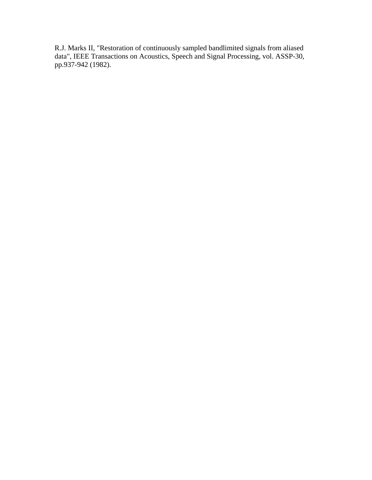R.J. Marks II, "Restoration of continuously sampled bandlimited signals from aliased data", IEEE Transactions on Acoustics, Speech and Signal Processing, vol. ASSP-30, pp.937-942 (1982).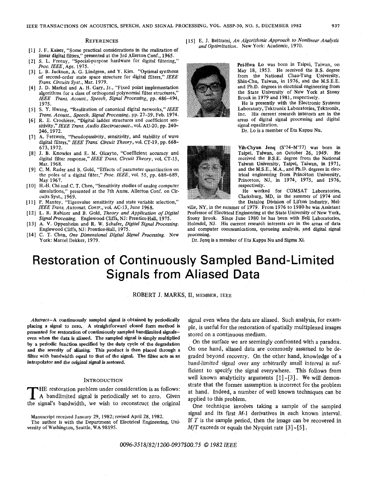#### **REFERENCES**

- J. F. Kaiser, "Some practical considerations in the realization of linear digital filters," presented at *the* 3rd Allerton Conf., 1965.
- *S.* L. Freeny, "Special-purpose hardware for digital filtering," *Proc. IEEE*, Apr. 1975.
- L. B. Jackson, A. *G.* Lindgren, and Y. Kim. "Optimal synthesis of second-order state space structure for digital filters," IEEE *Trans. Circuits Syst.,* Mar. 197.9.
- [4] J. D. Markel and A. H. Gary, Jr., "Fixed point implementation algorithms for a class of orthogonal polynomial filter structures,' IEEE *Trans. Acoust., Speech, Signal Processing,* pp. 486-494, 1975.
- [5] S. Y. Hwang, "Realization of canonical digital networks," IEEE *Trans. Acoust., Speech, Signal Processing,* pp. 27-39, Feb. 1974.
- R. E. Crochiere, "Digital ladder structures and coefficient sensitivity,"IEEE *Trans. Audio Electroacoust.,* vol. AU-20, pp. 240- 246,1972.
- 17 1 A. Fettweis, "Pseudopassivity, sensitivity, and stability of wave digital filters," IEEE *Trans: Circuit Theory,* vol. CT-19, pp. 668- 673,1972.
- J. B. Knowles and E. M. Olcayto, "Coefficient accuracy and digital filter response," IEEE *Trans. Circuit Theory,* vol. CT-15, Mar. 1968.
- [91 C. M. Rader and **B.** Gold, "Effects of parameter quantization on the poles of a digital filter," *Proc. IEEE*, vol. 55, pp. 688-689, May 1967.
- [10] H.-H. Chi and C. T. Chen, "Sensitivity studies of analog computer simulations," presented at the 7th Annu. Allerton Conf. on Circuits Syst., 1969.
- IEEE Trans. Automat. Contr., vol. AC-13, June 1968. [11] P. Mantey, "Eigenvalue sensitivity and state variable selection,"
- L. R. Rabiner and B. Gold, *Theory and Application of Digital Signal Processing.* Englewood Cliffs, NJ: Prentice-Hall, 1975.
- A. **V.** Oppenhelm and R. **W.** Schafer, *Digital Signal Processing.*  Englewood Cliffs, NJ: Prentice-Hall, 1975.
- C. T. Chen, *One Dimensional Digital Signal Processing,* New York: Marcel Dekker, 1979.

[ 151 E. J. Beltrami, *An Algorithmic Approach to Nonlinear Analysis and Optimization.* New York: Academic, 1970.



Pei-Hwa Lo was born in Taipei, Taiwan, on May 18, 1953. He received the B.S. degree from the National Chao-Tung University, ShinChu, Taiwan, in 1976, and the M.S.E.E. and Ph.D. degrees in electrical engineering from the State University of New York at Stony Brook in 1979 and 1981, respectively.

He is presently with the Electronic Systems Laboratory, Tektronix Laboratories, TektroniX, Inc. His current research interests are in the areas of digital signal piocessing and digital signal equalization.

Dr. Lo is a member of Eta Kappu Nu.

Yh-Chyun Jenq (S'74-M'77) was born in Taipei, Taiwan, on October 26, 1949. He received the B.S.E. degree from the National Taiwan University, Taipei, Taiwan, in 1971, and the M.S.E., M.A., and Ph.D. degrees in electrical engineering from Princeton University, Princeton, NJ, in 1974, 1975, and 1976, respectively.

He worked for COMSAT Laboratories, Clarksburg, MD, in the summer of 1974 and the Datalog Division of Lifton Industry, Mel-

ville, NY, in the summer of 1979. From 1976 to 198bhe **was** Assistant Professor of Electrical Engineering at the State University of New York, Stony Brook. Since June 1980 he has been with Bell Laboratories, HolmdeI, NJ. His current research interests are in the areas of data and computer communications, queueing analysis, and digital signal processing.

Dr. Jenq is a member of Eta Kappa Nu and Sigma Xi.

## Restoration of Continuously Sampled Band-Limited Signals from Aliased Data

ROBERT J. MARKS, II, MEMBER, IEEE

*Abstract-A* continuously sampled signal is obtained by periodically placing a signal to zero. **A** straightforward closed form method is presented for restoration **of** continuously sampled bandlimited signalseven when the data is aliased. The sampled signal is simply multiplied by a periodic function specified **by** the duty cycle of the degradation and the severity of aliasing. This product is then placed through a filter with bandwidth equal to that of the signal. The filter acts as an interpolator and the **orjginal sjsnal** is restored.

## INTRODUCTION

THE restoration problem under consideration is as follows:<br>A bandlimited signal is periodically set to zero. Given<br>the signal's bandwidth we wish to reconstruct the original **HE** restoration problem under consideration is as follows: the signal's bandwidth, 'we wish to reconstruct the original

versity of Washington, Seattle, WA 98195. *M/T* exceeds or equals the Nyquist rate [3] *-[5].* 

signal even when the data are aliased. Such analysis, for example, is useful for the restoration of spatially multiplexed images stored on a continuous medium.

On the surface we are seemingly confronted with a paradox. On one hand, aliased data are commonly assumed to be degraded beyond recovery. On the other hand, knowledge of a band-limited signal over any arbitrarily small interval is sufficient to specify the signal everywhere. This follows from well known analyticity arguments [1] -[3]. We will demonstrate that the former assumption is incorrect for the problem at hand. Indeed, a number of well known techniques can be applied to this problem.

One technique involves taking a sample of the sampled Manuscript received January 29, 1982; revised April 28, 1982.<br>The author is with the Department of Electrical Engineering, Uniting the sample period, then the image can be recovered in If  $T$  is the sample period, then the image can be recovered in

*0096-3518/82/1200-0937\$00.75 0 <sup>1982</sup>IEEE*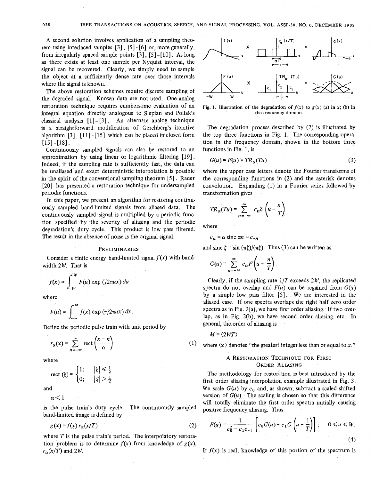**A** second solution involves application of a sampling theorem using interlaced samples [3] , [5] *-[6]* or, more generally, from irregularly spaced sample points  $[3]$ ,  $[5]$ - $[10]$ . As long as there exists at least one sample per Nyquist interval, the signal can be recovered. Clearly, we simply need to sample the object at a sufficiently dense rate over those intervals where the signal is known.

The above restoration schemes require discrete sampling of the degraded signal. Known data are not used. One analog restoration technique requires cumbersome evaluation of an integral equation directly analogous to Slepian and Pollak's classical analysis [l] - [3]. An alternate analog technique is a straightforward modification of Gerchberg's iterative algorithm  $[3]$ ,  $[11]$ - $[15]$  which can be placed in closed form [15]-[18].

Continuously sampled signals can also be restored to an approximation by using linear or logarithmic filtering [19] . Indeed, if the sampling rate is sufficiently fast, the data can be unaliased and exact deterministic interpolation is possible in the spirit of the conventional sampling theorem [5]. Rader [20] has presented a restoration technique for undersampled periodic functions.

In this paper, we present an algorithm for restoring continuously sampled band-limited signals from aliased data. The continuously sampled. signal is multiplied by a periodic function specified,'by the severity of aliasing and the periodic degradation's duty cycle. This product is low pass filtered. The result in the absence of noise is the original signal.

### PRELIMINARIES

Consider a finite energy band-limited signal  $f(x)$  with bandwidth *2W.* That is

$$
f(x) = \int_{-W}^{W} F(u) \exp (j2\pi ux) \, du
$$

where

$$
F(u) = \int_{-\infty}^{\infty} f(x) \exp(-j2\pi ux) dx.
$$

Define the periodic pulse train with unit period by  

$$
r_{\alpha}(x) = \sum_{n=-\infty}^{\infty} \text{rect}\left(\frac{x-n}{\alpha}\right)
$$

where

rect 
$$
(\xi)
$$
 =  $\begin{cases} 1; & |\xi| \le \frac{1}{2} \\ 0; & |\xi| > \frac{1}{2} \end{cases}$ 

and

 $\alpha$  < 1

is the pulse train's duty cycle. The continuously sampled band-limited image is defined by

$$
g(x) = f(x) r_{\alpha}(x/T) \tag{2}
$$

where *T* is the pulse train's period. The interpolatory restoration problem is to determine  $f(x)$  from knowledge of  $g(x)$ ,  $r_{\alpha}(x/T)$  and 2*W*.



Fig. 1. Illustration of the degradation of  $f(x)$  to  $g(x)$  (a) in x; (b) in the frequency domain.

The degradation process described by (2) is illustrated by the top three functions in Fig. 1. The corresponding operation in the frequency domain, shown in the bottom three functions in Fig. 1, is

$$
G(u) = F(u) * TR_{\alpha}(Tu)
$$
 (3)

where the upper case letters denote the Fourier transforms of the corresponding functions in (2) and the asterisk denotes convolution. Expanding (1) in a Fourier series followed by transformation gives

$$
TR_{\alpha}(Tu) = \sum_{n=-\infty}^{\infty} c_n \delta\left(u - \frac{n}{T}\right)
$$

where

$$
c_n = \alpha \text{ sinc } \alpha n = c_{-n}
$$

and sinc  $\xi = \sin(\pi \xi)/(\pi \xi)$ . Thus (3) can be written as

$$
G(u) = \sum_{n=-\infty}^{\infty} c_n F\left(u - \frac{n}{T}\right).
$$

Clearly, if the sampling rate  $1/T$  exceeds  $2W$ , the replicated spectra do not overlap and  $F(u)$  can be regained from  $G(u)$ by a simple low pass filter [5]. We are interested in the aliased case. If one spectra overlaps the right half zero-order spectra as in Fig.  $2(a)$ , we have first order aliasing. If two overlap, **as** in Fig. 2(b), we have second order aliasing, etc. In general, the.order of aliasing is

 $M = \langle 2WT \rangle$ 

 $(1)$ where  $\langle x \rangle$  denotes "the greatest integer less than or equal to  $x$ ."

## A RESTORATION TECHNIQUE FOR FIRST ORDER ALIASING

The methodology for restoration is best introduced by the first order aliasing interpolation example illustrated in Fig. 3. We scale  $G(u)$  by  $c_0$  and, as shown, subtract a scaled shifted version of  $G(u)$ . The scaling is chosen so that this difference will totally eliminate the first order spectra initially causing positive frequency aliasing. Thus

$$
F(u) = \frac{1}{c_0^2 - c_1 c_{-1}} \left[ c_0 G(u) - c_1 G\left(u - \frac{1}{T}\right) \right]; \quad 0 \le u \le W.
$$
\n(4)

If  $f(x)$  is real, knowledge of this portion of the spectrum is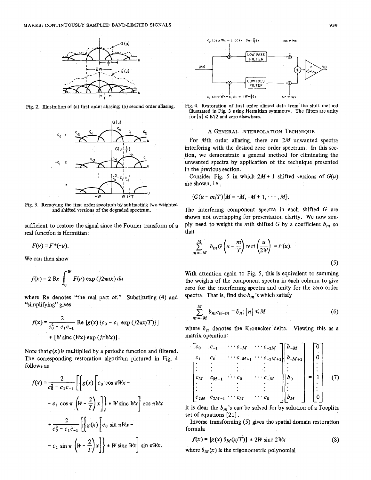

**Fig. 2. Illustration of (a) fist order aliasing;** (b) **second order aliasing.** 



**Fig. 3. Removing the first order spectrum by subtracting** two **weighted and shifted versions of the degraded spectrum.** 

sufficient to restore the signal since the Fourier transform of a real function is Hermitian:

 $F(u) = F^{*}(-u)$ .

We can then show

$$
f(x) = 2 \text{ Re } \int_0^W F(u) \exp (j2\pi ux) \, du
$$

where Re denotes "the real part of." Substituting (4) and "simplifying" gives

$$
f(x) = \frac{2}{c_0^2 - c_1 c_{-1}} \text{Re} [g(x) \{c_0 - c_1 \exp (j2\pi x/T)\}]
$$
  
 \* [W sinc (Wx) exp (j\pi Wx)].

Note that  $g(x)$  is multiplied by a periodic function and filtered. The corresponding restoration algorithm pictured in Fig. 4 follows as

$$
f(x) = \frac{2}{c_0^2 - c_1 c_{-1}} \left[ \left\{ g(x) \left[ c_0 \cos \pi W x - c_1 \cos \pi \left( W - \frac{2}{T} \right) x \right] \right\} * W \text{ sinc } Wx \right] \cos \pi Wx
$$

$$
+ \frac{2}{c_0^2 - c_1 c_{-1}} \left[ \left\{ g(x) \left[ c_0 \sin \pi W x - c_1 \sin \pi \left( W - \frac{2}{T} \right) x \right] \right\} * W \text{ sinc } Wx \right] \sin \pi Wx.
$$





## **A** GENERAL INTERPOLATION TECHNIQUE

For Mth order aliasing, there are *2M* unwanted spectra interfering with the desired zero order spectrum. In this section, we demonstrate a general method for eliminating the unwanted spectra by application of the technique presented in the previous section.

Consider Fig. 5 in which  $2M + 1$  shifted versions of  $G(u)$ are shown, i.e.,

$$
{G(u-m/T)|M=-M,-M+1,\cdots,M}.
$$

The interfering component spectra in each shifted *G* are shown not overlapping for presentation clarity. We now simply need to weight the mth shifted *G* by a coefficient  $b_m$  so that

$$
\sum_{m=-M}^{M} b_m G\left(u - \frac{m}{T}\right) \text{rect}\left(\frac{u}{2W}\right) = F(u). \tag{5}
$$

With attention again to Fig. **5,** this is equivalent to summing the weights of the component spectra in each column to give zero for the interferring spectra and unity for the zero order spectra. That is, find the  $b_m$ 's which satisfy

$$
\sum_{m=-M}^{M} b_m c_{n-m} = \delta_n; |n| \le M \tag{6}
$$

where  $\delta_n$  denotes the Kronecker delta. Viewing this as a matrix operation:

$$
\begin{bmatrix} c_0 & c_{-1} & \cdots & c_{-M} & \cdots & c_{-2M} \\ c_1 & c_0 & \cdots & c_{-M+1} & \cdots & c_{-2M+1} \\ \vdots & \vdots & \vdots & \vdots & \vdots & \vdots \\ c_M & c_{M-1} & \cdots & c_0 & \cdots & c_{-M} \\ \vdots & \vdots & \vdots & \vdots & \vdots \\ c_{2M} & c_{2M-1} & \cdots & c_M & \cdots & c_0 \end{bmatrix} \begin{bmatrix} b_{-M} \\ b_{-M+1} \\ \vdots \\ b_0 \\ \vdots \\ b_M \end{bmatrix} = \begin{bmatrix} 0 \\ 0 \\ \vdots \\ 1 \\ \vdots \\ 0 \end{bmatrix} \qquad (7)
$$

it is clear the  $b_m$ 's can be solved for by solution of a Toeplitz set of equations **[21]** ,

Inverse transforming **(5)** gives the spatial domain restoration formula

$$
f(x) = [g(x) \theta_M(x/T)] * 2W \text{ sinc } 2Wx \tag{8}
$$

where  $\theta_M(x)$  is the trigonometric polynomial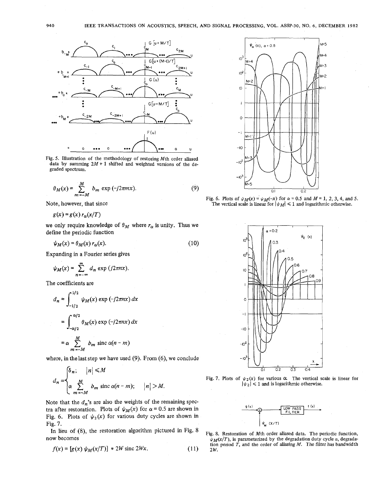

Fig. 5. Illustration of the methodology **of** restoring Mth order aliased data by summing  $2M + 1$  shifted and weighted versions of the degraded spectrum.

$$
\theta_M(x) = \sum_{m=-M}^{M} b_m \exp(-j2\pi mx). \tag{9}
$$

Note, however, that since

 $g(x) = g(x) r<sub>o</sub>(x/T)$ 

we only require knowledge of  $\theta_M$  where  $r_\alpha$  is unity. Thus we define the periodic function

 $\psi_M(x) = \theta_M(x) r_\alpha(x).$  (10)

Expanding in a Fourier series gives

$$
\psi_M(x) = \sum_{n=-\infty}^{\infty} d_n \exp (j2\pi nx).
$$

The coefficients are

$$
d_n = \int_{-1/2}^{1/2} \psi_M(x) \exp(-j2\pi nx) dx
$$
  
= 
$$
\int_{-\alpha/2}^{\alpha/2} \theta_M(x) \exp(-j2\pi nx) dx
$$
  
= 
$$
\alpha \sum_{m=-M}^{M} b_m \operatorname{sinc} \alpha(n-m)
$$

where, in thelast step we have used (9). From *(6),* we conclude

$$
d_n = \begin{cases} \delta_n; & |n| \le M \\ \alpha \sum_{m=-M}^{M} b_m \operatorname{sinc} \alpha(n-m); & |n| > M. \end{cases}
$$

Note that the  $d_n$ 's are also the weights of the remaining spectra after restoration. Plots of  $\psi_M(x)$  for  $\alpha = 0.5$  are shown in  $\frac{g(x)}{F! \sqrt{C}}$ . Plots of  $\psi_2(x)$  for various duty cycles are shown in

Fig. 7.<br>In lieu of (8), the restoration algorithm pictured in Fig. 8

$$
f(x) = [g(x) \psi_M(x/T)] * 2W \text{ sinc } 2Wx.
$$
 (11) 2W.







Fig. 7. Plots of  $\psi_2(x)$  for various  $\alpha$ . The vertical scale is linear for  $|\psi_2| \leq 1$  and is logarithmic otherwise.



In heu or (8), the restoration algorithm pictured in Fig. 6<br>now becomes  $\psi_M(x/T)$ , is parameterized by the degradation duty cycle  $\alpha$ , degradation period *T,* **and** the order of aliasing *M.* The **filter** has bandwidth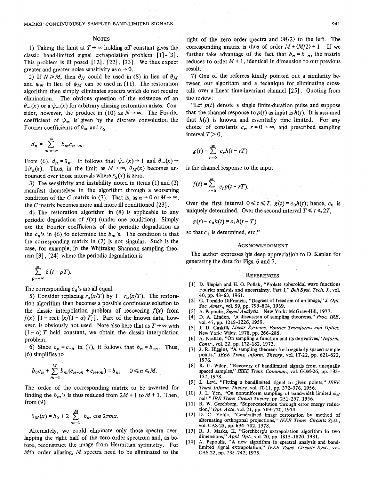#### **NOTES**

1) Taking the limit at  $T \rightarrow \infty$  holding  $\alpha T$  constant gives the classic band-limited signal extrapolation problem [ *13* - *[3]* . This problem is ill posed *[12]* , *[22]* , *[23]* . We thus expect greater and greater noise sensitivity as  $\alpha \rightarrow 0$ .

2) If  $N \ge M$ , then  $\theta_N$  could be used in (8) in lieu of  $\theta_M$ and  $\psi_N$  in lieu of  $\psi_M$  can be used in (11). The restoration algorithm then simply eliminates spectra which do not require elimination. The obvious question of 'the existence of an  $\theta_{\infty}(x)$  or a  $\psi_{\infty}(x)$  for arbitrary aliasing restoration arises. Consider, however, the product in (10) as  $N \rightarrow \infty$ . The Fourier coefficient of  $\psi_{\infty}$  is given by the discrete convolution the Fourier coefficients of  $\theta_{\infty}$  and  $r_{\alpha}$ 

$$
d_n = \sum_{m=-\infty}^{\infty} b_m c_{n-m}.
$$

From (6),  $d_n = \delta_n$ . It follows that  $\psi_\infty(x) \to 1$  and  $\theta_\infty(x) \to$  $1/r_{\alpha}(x)$ . Thus, in the limit as  $M \rightarrow \infty$ ,  $\theta_M(x)$  becomes unbounded over those intervals where  $r_{\alpha}(x)$  is zero.

*3)* The sensitivity and instability noted in items *(1)* and *(2)*  manifest themselves in the algorithm through a worsening condition of the *C* matrix in (7). That is, as  $\alpha \rightarrow 0$  or  $M \rightarrow \infty$ , the *C* matrix becomes more and more ill conditioned [23].

4) The restoration algorithm in (8) is applicable to any periodic degradation of  $f(x)$  (under one condition). Simply use the Fourier coefficients of the periodic degradation as the  $c_n$ 's in (6) to determine the  $b_m$ 's. The condition is that the corresponding matrix in **(7)** is not singular. Such is the case, for example, in the Whittaker-Shannon sampling theorem *[3], [24]* where the periodic degradation is

$$
\sum_{p=-\infty}^{\infty} \delta(t - pT).
$$

The corresponding  $c_n$ 's are all equal.

*5)* Consider replacing  $r_{\alpha}(x/T)$  by  $1 - r_{\alpha}(x/T)$ . The restoration algorithm then becomes a possible continuous solution to the classic interpolation problem of recovering  $f(x)$  from *f(x)*  $[1 - \text{rect} \{x/(1 - \alpha) T\}]$ . Part of the known data, however, is obviously not used. Note also here that as  $T \rightarrow \infty$  with  $(1 - \alpha)$  *T* held constant, we obtain the classic interpolation problem.

6) Since  $c_n = c_{-n}$  in (7), it follows that  $b_n = b_{-n}$ . Thus, (6) simplifies to

$$
b_0c_n+\sum_{m=1}^M b_m(c_{n-m}+c_{n+m})=\delta_n;\quad 0\leq n\leq M.
$$

The order of the corresponding matrix to be inverted for finding the  $b_m$ 's is thus reduced from  $2M + 1$  to  $M + 1$ . Then, from  $(9)$ 

$$
\theta_M(x) = b_0 + 2 \sum_{m=1}^{M} b_m \cos 2\pi m x.
$$

Alternately, we could eliminate only those spectra overlapping the right half of the zero order spectrum and, as before, reconstruct the image from Hermitian symmetry. For Mth order aliasing, *M* spectra need to be eliminated to the right of the zero order spectra and *(M/2)* to the left. The corresponding matrix is thus of order  $M + \langle M/2 \rangle + 1$ . If we further take advantage of the fact that  $b_n = b_{-n}$ , the matrix reduces to order  $M + 1$ , identical in dimension to our previous result.

7) One of the referees kindly pointed out a similarity between our algorithm and a technique for eliminating crosstalk over a linear time-invariant channel *[25].* Quoting from the review:

"Let  $p(t)$  denote a single finite-duration pulse and suppose" that the channel response to  $p(t)$  as input is  $h(t)$ . It is assumed that  $h(t)$  is known and essentially time limited. For any choice of constants  $c_r$ ,  $r = 0 \rightarrow \infty$ , and prescribed sampling interval  $T > 0$ ,

$$
g(t) = \sum_{r=0}^{\infty} c_r h(t - rT)
$$

is the channel response to the input

$$
f(t) = \sum_{r=0}^{\infty} c_r p(t - rT)
$$

Over the first interval  $0 \le t \le T$ ,  $g(t) = c_0 h(t)$ ; hence,  $c_0$  is uniquely determined. Over the second interval  $T \le t \le 2T$ ,

$$
g(t)-c_0h(t)=c_1h(t-T)
$$

so that  $c_1$  is determined, etc."

### **ACKNOWLEDGMENT**

The author expresses his deep appreciation to D. Kaplan for generating the data for Figs. *6* and 7.

#### **REFERENCES**

- [1] D. Slepian and H. O. Pollak, "Prolate spheroidal wave functions Fourier analysis and uncertainty, Part I," *BellSyst. Tech. J.,* vol. 40, pp. 43-63,1961.
- [ 21 *G.* Toraldo DiFrancia, "Degrees of freedom of **an** image," *J. Opt. Soc. Amer.,* vol. 59, pp. 799-804, 1969.
- A. Papoulis, *Signal Analysis.* New York: McGraw-Hill, 1977.
- [4] D. **A:** Linden,. **"A** discission of sampling theorems," *Proc. IRE,*  VO~. 47, **pp.** 1219-1226.1959.
- [5] J. D. Gaskill, *Linear Systems, Fourier Transforms and Optics.* New York: Wiley, 1978, pp. 266-285.
- [6] A. Nathan, "On sampling a function and its derivatives," Inform. *Contr.,* vol. 22, pp. 172-182, 1973.
- 171 **J.** R. Higgins, **"A** sampling theorem for irregularly spaced sample points," *IEEE Trans. Inform. Theory,* voL IT-22, pp. 621-622, 1976.
- [8] R. G. Wiley, "Recovery of bandlimited signals from unequally spaced samples," *IEEE Trans. Commun.,* vol. COM-26, pp. 135- 137, 1978.
- [9] L. Levi, "Fitting a bandlimited signal to given points," *IEEE Trans. Inform. Theory,* vol. IT-11, pp. 372-376, 1956.
- [10] J. L. Yen, "On nonuniform sampling of bandwidth limited signals," *IRE Trans. Circuit Theory,* pp. 251-257, 1956.
- [ 111 R. W. Gerchberg, "Super-resolution through error energy reduction," *Opt. Acta,* vol. 21, pp. 709-720, 1974.
- [12] D. C. Youla, "Generalized image restoration by method of alternating orthogonal projections," *IEEE Trans. Circuits Syst.,*  **v01.** CAS-25, pp. 694-702, 1978.
- [13] R. J. Marks, **11,** "Gerchberg's extrapolation algorithm in two dimensions," Appl. Opt., vol. 20, pp. 1815-1820, 1981.
- [14] **A.** Papoulis, "A new algorithm in spectral analysis and bandlimited signal extrapolation," *IEEE Trans. Circuits Syst.,* vol. CAS-22, pp. 735-742, 1975.